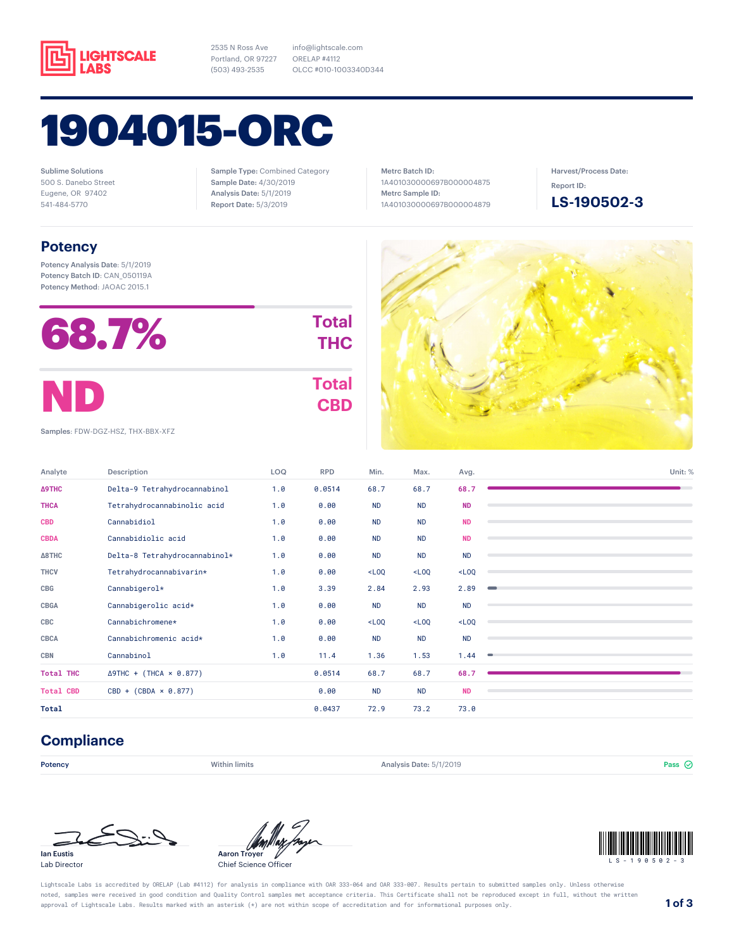

2535 N Ross Ave Portland, OR 97227 (503) 493-2535

1904015-ORC

Sublime Solutions 500 S. Danebo Street Eugene, OR 97402 541-484-5770

Sample Type: Combined Category Sample Date: 4/30/2019 Analysis Date: 5/1/2019 Report Date: 5/3/2019

info@lightscale.com ORELAP #4112

OLCC #010-1003340D344

Metrc Batch ID: 1A401030000697B000004875 Metrc Sample ID: 1A401030000697B000004879

 $\mathcal{L} = \mathcal{L} \mathcal{L}$ 

Harvest/Process Date: Report ID:

**LS-190502-3**

### **Potency**

Potency Analysis Date: 5/1/2019 Potency Batch ID: CAN\_050119A Potency Method: JAOAC 2015.1

| 68.7% | <b>Total</b><br><b>THC</b> |
|-------|----------------------------|
| ND    | <b>Total</b><br><b>CBD</b> |

Samples: FDW-DGZ-HSZ, THX-BBX-XFZ

| Analyte          | Description                    | LOQ | <b>RPD</b> | Min.      | Max.      | Avg.      | Unit: % |
|------------------|--------------------------------|-----|------------|-----------|-----------|-----------|---------|
| <b>A9THC</b>     | Delta-9 Tetrahydrocannabinol   | 1.0 | 0.0514     | 68.7      | 68.7      | 68.7      |         |
| <b>THCA</b>      | Tetrahydrocannabinolic acid    | 1.0 | 0.00       | <b>ND</b> | <b>ND</b> | <b>ND</b> |         |
| <b>CBD</b>       | Cannabidiol                    | 1.0 | 0.00       | <b>ND</b> | <b>ND</b> | <b>ND</b> |         |
| <b>CBDA</b>      | Cannabidiolic acid             | 1.0 | 0.00       | <b>ND</b> | <b>ND</b> | <b>ND</b> |         |
| $\Delta$ 8THC    | Delta-8 Tetrahydrocannabinol*  | 1.0 | 0.00       | <b>ND</b> | <b>ND</b> | <b>ND</b> |         |
| <b>THCV</b>      | Tetrahydrocannabivarin*        | 1.0 | 0.00       | $-L00$    | $<$ LOQ   | $<$ LOQ   |         |
| CBG              | Cannabigerol*                  | 1.0 | 3.39       | 2.84      | 2.93      | 2.89      |         |
| CBGA             | Cannabigerolic acid*           | 1.0 | 0.00       | <b>ND</b> | <b>ND</b> | <b>ND</b> |         |
| CBC              | Cannabichromene*               | 1.0 | 0.00       | $<$ LOQ   | $<$ LOQ   | $<$ LOQ   |         |
| CBCA             | Cannabichromenic acid*         | 1.0 | 0.00       | <b>ND</b> | <b>ND</b> | <b>ND</b> |         |
| <b>CBN</b>       | Cannabinol                     | 1.0 | 11.4       | 1.36      | 1.53      | 1.44      |         |
| <b>Total THC</b> | $\Delta$ 9THC + (THCA × 0.877) |     | 0.0514     | 68.7      | 68.7      | 68.7      |         |
| <b>Total CBD</b> | $CBD + (CBDA \times 0.877)$    |     | 0.00       | <b>ND</b> | <b>ND</b> | <b>ND</b> |         |
| Total            |                                |     | 0.0437     | 72.9      | 73.2      | 73.0      |         |

### **Compliance**

**Potency Example 3 Pass**  $\omega$  Within limits **Analysis Date: 5/1/2019** Pass  $\omega$  **Pass**  $\omega$ 









Lightscale Labs is accredited by ORELAP (Lab #4112) for analysis in compliance with OAR 333-064 and OAR 333-007. Results pertain to submitted samples only. Unless otherwise noted, samples were received in good condition and Quality Control samples met acceptance criteria. This Certificate shall not be reproduced except in full, without the written approval of Lightscale Labs. Results marked with an asterisk (\*) are not within scope of accreditation and for informational purposes only. **1 of 3**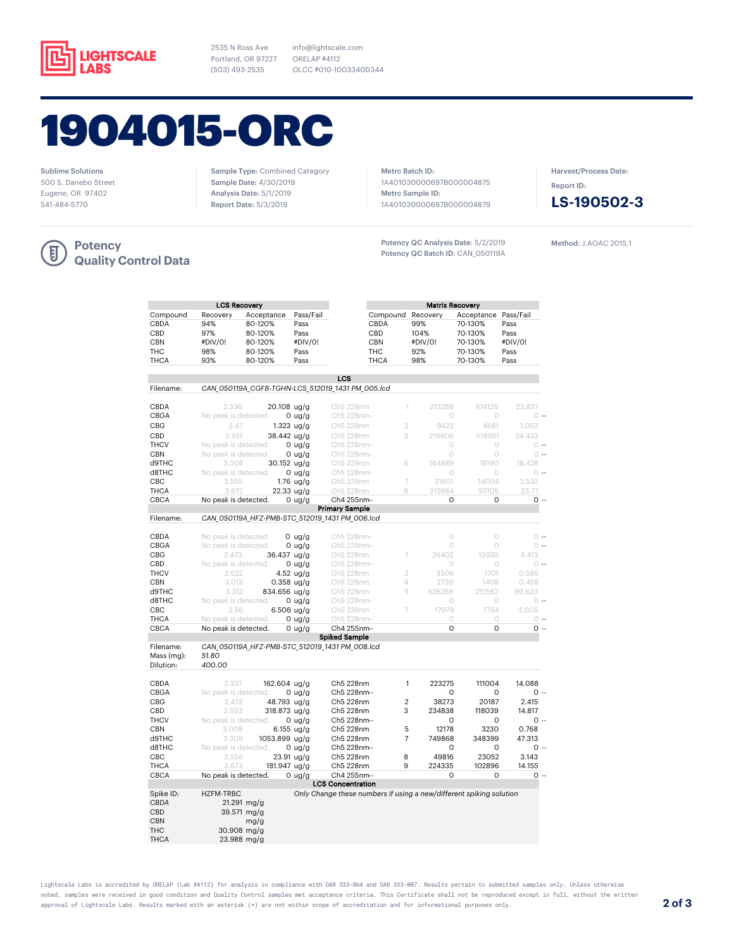

2535 N Ross Ave Portland, OR 97227 (503) 493-2535

info@lightscale.com ORELAP #4112 OLCC #010-1003340D344

# 1904015-ORC

Sublime Solutions 500 S. Danebo Street Eugene, OR 97402 541-484-5770

Sample Type: Combined Category Sample Date: 4/30/2019 Analysis Date: 5/1/2019 Report Date: 5/3/2019

Metrc Batch ID: 1A401030000697B000004875 Metrc Sample ID: 1A401030000697B000004879

Potency QC Analysis Date: 5/2/2019 Potency QC Batch ID: CAN\_050119A Harvest/Process Date: Report ID:



Method: J.AOAC 2015.1



|                         |                      | <b>LCS Recovery</b>                              |                  |                          |                    | <b>Matrix Recovery</b>                                              |             |                 |
|-------------------------|----------------------|--------------------------------------------------|------------------|--------------------------|--------------------|---------------------------------------------------------------------|-------------|-----------------|
| Compound                | Recovery             | Acceptance                                       | Pass/Fail        |                          | Compound           | Recovery                                                            | Acceptance  | Pass/Fail       |
| CBDA                    | 94%                  | 80-120%                                          | Pass             |                          | CBDA               | 99%                                                                 | 70-130%     | Pass            |
| CBD                     | 97%                  | 80-120%                                          | Pass             |                          | CBD                | 104%                                                                | 70-130%     | Pass            |
| <b>CBN</b>              | #DIV/0!              | 80-120%                                          | #DIV/0!          |                          | <b>CBN</b>         | #DIV/0!                                                             | 70-130%     | #DIV/0!         |
| THC                     | 98%                  | 80-120%                                          | Pass             |                          | THC                | 92%                                                                 | 70-130%     | Pass            |
| <b>THCA</b>             | 93%                  | 80-120%                                          | Pass             |                          | <b>THCA</b>        | 98%                                                                 | 70-130%     | Pass            |
|                         |                      |                                                  |                  |                          |                    |                                                                     |             |                 |
|                         |                      |                                                  |                  | LCS                      |                    |                                                                     |             |                 |
| Filename:               |                      | CAN 050119A CGFB-TGHN-LCS 512019 1431 PM 005.lcd |                  |                          |                    |                                                                     |             |                 |
| CBDA                    | 2.336                | 20.108 ug/g                                      |                  | Ch5 228nm                | 1                  | 213288                                                              | 104126      | 23.837          |
| CBGA                    | No peak is detected. |                                                  | $0$ ug/g         | Ch5 228nm--              |                    | $\circ$                                                             | $\circ$     | $0 -$           |
| CBG                     | 2.47                 |                                                  |                  | Ch5 228nm                | $\overline{2}$     | 9422                                                                | 4681        | 1.053           |
|                         |                      |                                                  | $1.323$ ug/g     |                          |                    |                                                                     |             |                 |
| CBD                     | 2.551                | 38.442 ug/g                                      |                  | Ch5 228nm                | 3                  | 218606                                                              | 108951      | 24.432          |
| <b>THCV</b>             | No peak is detected. |                                                  | $0 \text{ uq/g}$ | Ch5 228nm--              |                    | $\bigcirc$                                                          | $\bigcirc$  | $0 -$           |
| <b>CBN</b>              | No peak is detected. |                                                  | $0$ ug/g         | Ch5 228nm--              |                    | $\circ$                                                             | $\circ$     | $\circ$ $\cdot$ |
| d9THC                   | 3.308                | 30.152 ug/g                                      |                  | Ch5 228nm                | 6                  | 164889                                                              | 78190       | 18.428          |
| d8THC                   | No peak is detected. |                                                  | $0$ ug/g         | Ch5 228nm--              |                    | $\circ$                                                             | $\circ$     | $0 -$           |
| CBC                     | 3.555                |                                                  | $1.76$ ug/g      | Ch5 228nm                | 7                  | 31601                                                               | 14004       | 3.532           |
| <b>THCA</b>             | 3.672                |                                                  | 22.33 ug/g       | Ch5 228nm                | 8                  | 212684                                                              | 97105       | 23.77           |
| CBCA                    | No peak is detected. |                                                  | 0 ug/g           | Ch4 255nm-               |                    | 0                                                                   | 0           | $0 -$           |
|                         |                      |                                                  |                  | <b>Primary Sample</b>    |                    |                                                                     |             |                 |
| Filename:               |                      | CAN_050119A_HFZ-PMB-STC_512019_1431 PM_006.lcd   |                  |                          |                    |                                                                     |             |                 |
|                         |                      |                                                  |                  |                          |                    |                                                                     |             |                 |
| CBDA                    | No peak is detected. |                                                  | $0$ ug/g         | Ch5 228nm--              |                    | $\circ$                                                             | $\circ$     | $\bigcirc$ $-$  |
| CBGA                    | No peak is detected. |                                                  | $0$ ug/g         | Ch5 228nm--              |                    | $\bigcirc$                                                          | $\circ$     | $\circ$ $\cdot$ |
| <b>CBG</b>              | 2.473                | 36.437 ug/g                                      |                  | Ch5 228nm                | 1                  | 26402                                                               | 13935       | 4.413           |
| CBD                     | No peak is detected. |                                                  | $0$ ug/g         | Ch5 228nm--              |                    | $\circ$                                                             | $\circ$     | $0 -$           |
| <b>THCV</b>             | 2.622                |                                                  | $4.52$ ug/g      | Ch5 228nm                | $\overline{2}$     | 3506                                                                | 1701        | 0.586           |
| <b>CBN</b>              | 3.013                |                                                  | $0.358$ ug/g     | Ch5 228nm                | $\vartriangleleft$ | 2739                                                                | 1408        | 0.458           |
| d9THC                   | 3.312                | 834.656 ug/g                                     |                  | Ch5 228nm                | 5                  | 536266                                                              | 251562      | 89.633          |
|                         |                      |                                                  |                  |                          |                    |                                                                     |             |                 |
| d8THC                   | No peak is detected. |                                                  | 0 ug/g           | Ch5 228nm--              |                    | $\circ$                                                             | $\circ$     | $\circ$ $\cdot$ |
| CBC                     | 3.56                 |                                                  | $6.506$ ug/g     | Ch5 228nm                | 7                  | 17979                                                               | 7794        | 3.005           |
| <b>THCA</b>             | No peak is detected. |                                                  | $0$ ug/g         | Ch5 228nm--              |                    | $\circ$                                                             | $\circ$     | $\circ$ $\cdot$ |
| <b>CBCA</b>             | No peak is detected. |                                                  | $0$ ug/g         | Ch4 255nm-               |                    | $\Omega$                                                            | 0           | $0 -$           |
|                         |                      |                                                  |                  | <b>Spiked Sample</b>     |                    |                                                                     |             |                 |
| Filename:<br>Mass (mg): | 51.80                | CAN_050119A_HFZ-PMB-STC_512019_1431 PM_008.lcd   |                  |                          |                    |                                                                     |             |                 |
| Dilution:               | 400.00               |                                                  |                  |                          |                    |                                                                     |             |                 |
| CBDA                    | 2.337                | 162.604 ug/g                                     |                  | Ch5 228nm                | $\mathbf{1}$       | 223275                                                              | 111004      | 14.088          |
| CBGA                    | No peak is detected. |                                                  | $0$ ug/g         | Ch5 228nm--              |                    | 0                                                                   | $\mathsf O$ | 0 --            |
| CBG                     | 2.472                | 48.793 ug/g                                      |                  | Ch5 228nm                | $\overline{2}$     | 38273                                                               | 20187       | 2.415           |
| CBD                     | 2.553                |                                                  |                  | Ch5 228nm                | 3                  | 234838                                                              | 118039      | 14.817          |
|                         |                      | 318.873 ug/g                                     |                  |                          |                    |                                                                     |             |                 |
| <b>THCV</b>             | No peak is detected. |                                                  | $0$ ug/g         | Ch5 228nm--              |                    | $\circ$                                                             | $\circ$     | $0 -$           |
| <b>CBN</b>              | 3.008                |                                                  | $6.155$ ug/g     | Ch5 228nm                | 5                  | 12178                                                               | 3230        | 0.768           |
| d9THC                   | 3.309                | 1053.899 ug/g                                    |                  | Ch5 228nm                | $\overline{7}$     | 749868                                                              | 348399      | 47.313          |
| d8THC                   | No peak is detected. |                                                  | $0$ ug/g         | Ch5 228nm--              |                    | O                                                                   | 0           | $0 -$           |
| CBC                     | 3.556                |                                                  | $23.91$ ug/g     | Ch5 228nm                | 8                  | 49816                                                               | 23052       | 3.143           |
| <b>THCA</b>             | 3.673                | 181.947 ug/g                                     |                  | Ch5 228nm                | 9                  | 224335                                                              | 102896      | 14.155          |
| <b>CBCA</b>             | No peak is detected. |                                                  | 0 ug/g           | Ch4 255nm-               |                    | $\circ$                                                             | $\circ$     | $0 -$           |
|                         |                      |                                                  |                  | <b>LCS Concentration</b> |                    |                                                                     |             |                 |
| Spike ID:               | <b>HZFM-TRBC</b>     |                                                  |                  |                          |                    | Only Change these numbers if using a new/different spiking solution |             |                 |
| CBDA                    |                      | $21.291$ mg/g                                    |                  |                          |                    |                                                                     |             |                 |
| CBD                     |                      | 39.571 mg/g                                      |                  |                          |                    |                                                                     |             |                 |
| <b>CBN</b>              |                      | mg/g                                             |                  |                          |                    |                                                                     |             |                 |
|                         |                      |                                                  |                  |                          |                    |                                                                     |             |                 |
| <b>THC</b>              |                      | 30.908 mg/g                                      |                  |                          |                    |                                                                     |             |                 |
| <b>THCA</b>             |                      | 23.988 mg/g                                      |                  |                          |                    |                                                                     |             |                 |

Lightscale Labs is accredited by ORELAP (Lab #4112) for analysis in compliance with OAR 333-064 and OAR 333-007. Results pertain to submitted samples only. Unless otherwise noted, samples were received in good condition and Quality Control samples met acceptance criteria. This Certificate shall not be reproduced except in full, without the written approval of Lightscale Labs. Results marked with an asterisk (\*) are not within scope of accreditation and for informational purposes only. **2 of 3**